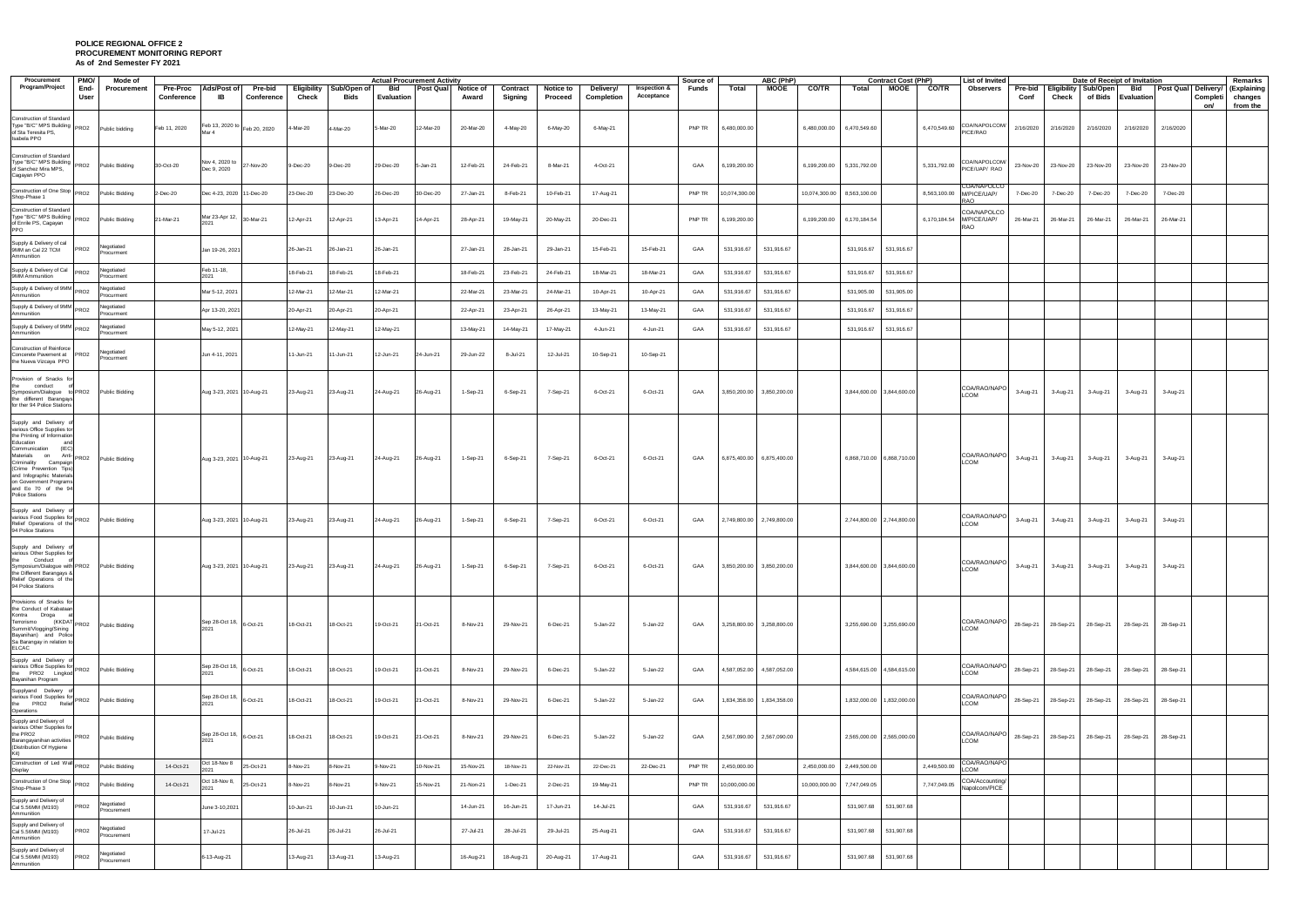## **POLICE REGIONAL OFFICE 2 PROCUREMENT MONITORING REPORT As of 2nd Semester FY 2021**

| Procurement<br><b>PMO/</b>                                                                                                                                                                                                                                                                                               | Mode of                   |              |                                 |                       |           |                                                                            | <b>Actual Procurement Activity</b> |                  |                           |                     |                      |                                              |                                       | Source of |                               | ABC (PhP)    |               | <b>Contract Cost (PhP)</b> |            |              | List of Invited                                       |           |                     | Date of Receipt of Invitation                |                           | Remarks                         |                                           |
|--------------------------------------------------------------------------------------------------------------------------------------------------------------------------------------------------------------------------------------------------------------------------------------------------------------------------|---------------------------|--------------|---------------------------------|-----------------------|-----------|----------------------------------------------------------------------------|------------------------------------|------------------|---------------------------|---------------------|----------------------|----------------------------------------------|---------------------------------------|-----------|-------------------------------|--------------|---------------|----------------------------|------------|--------------|-------------------------------------------------------|-----------|---------------------|----------------------------------------------|---------------------------|---------------------------------|-------------------------------------------|
| Program/Project<br>End-<br>User                                                                                                                                                                                                                                                                                          | Procurement               | Conference   | Pre-Proc Ads/Post of<br>IB      | Pre-bid<br>Conference | Check     | Eligibility   Sub/Open of  <br>Bids                                        | Bid<br><b>Evaluation</b>           | <b>Post Qual</b> | <b>Notice of</b><br>Award | Contract<br>Signing | Notice to<br>Proceed | Delivery/<br>Completion                      | <b>Inspection &amp;</b><br>Acceptance | Funds     | Total                         | MOOE         | <b>CO/TR</b>  | Total                      | MOOE       | <b>CO/TR</b> | Observers                                             | Conf      | Check               | Pre-bid   Eligibility   Sub/Open             | Bid<br>of Bids Evaluation | Post Qual Delivery/<br>Completi | (Explaining<br>changes<br>from the<br>on/ |
| Construction of Standard<br>Type "B/C" MPS Building PRO2<br>of Sta Teresita PS,<br>Isabela PPO                                                                                                                                                                                                                           | Public bidding            | Feb 11, 2020 | Feb 13, 2020 to Feb 20, 2020    |                       | 4-Mar-20  | 4-Mar-20                                                                   | 5-Mar-20                           | 12-Mar-20        | 20-Mar-20                 | 4-May-20            | 6-May-20             | 6-May-21                                     |                                       | PNP TR    | 6,480,000.00                  |              | 6,480,000.00  | 6,470,549.60               |            | 6,470,549.60 | COA/NAPOLCOM/<br>PICE/RAO                             | 2/16/2020 | 2/16/2020           | 2/16/2020                                    | 2/16/2020                 | 2/16/2020                       |                                           |
| Construction of Standard<br>Type "B/C" MPS Building PRO2<br>of Sanchez Mira MPS,<br>Cagayan PPO                                                                                                                                                                                                                          | Public Bidding            | 30-Oct-20    | Nov 4, 2020 to<br>Dec 9, 2020   | 27-Nov-20             | 9-Dec-20  | 9-Dec-20                                                                   | 29-Dec-20                          | 5-Jan-21         | 12-Feb-21                 | 24-Feb-21           | 8-Mar-21             | 4-Oct-21                                     |                                       | GAA       | 6,199,200.00                  |              | 6,199,200.00  | 5,331,792.00               |            | 5,331,792.00 | COA/NAPOLCOM/<br>PICE/UAP/ RAO                        | 23-Nov-20 | 23-Nov-20           | 23-Nov-20                                    | 23-Nov-20                 | 23-Nov-20                       |                                           |
| Construction of One Stop PRO2<br>Shop-Phase 1                                                                                                                                                                                                                                                                            | Public Bidding            | 2-Dec-20     | Dec 4-23, 2020 11-Dec-20        |                       | 23-Dec-20 | 23-Dec-20                                                                  | 26-Dec-20                          | 30-Dec-20        | 27-Jan-21                 | 8-Feb-21            | 10-Feb-21            | 17-Aug-21                                    |                                       | PNP TR    | 10,074,300.00                 |              | 10,074,300.00 | 8,563,100.00               |            |              | COA/NAPOLCO<br>8,563,100.00 M/PICE/UAP/<br><b>RAO</b> | 7-Dec-20  | 7-Dec-20            | 7-Dec-20                                     | 7-Dec-20                  | 7-Dec-20                        |                                           |
| <b>Construction of Standard</b><br>Type "B/C" MPS Building<br>PRO <sub>2</sub><br>of Enrile PS, Cagayan<br>PPO                                                                                                                                                                                                           | Public Bidding            | 21-Mar-21    | Mar 23-Apr 12,                  | 30-Mar-21             | 12-Apr-21 | 12-Apr-21                                                                  | 13-Apr-21                          | 14-Apr-21        | 28-Apr-21                 | 19-May-21           | 20-May-21            | 20-Dec-21                                    |                                       | PNP TR    | 6,199,200.00                  |              | 6,199,200.00  | 6,170,184.54               |            | 6,170,184.54 | COA/NAPOLCO<br>M/PICE/UAP/<br>RAO                     |           | 26-Mar-21 26-Mar-21 | 26-Mar-21                                    | 26-Mar-21                 | 26-Mar-21                       |                                           |
| Supply & Delivery of cal<br>9MM an Cal 22 TCM<br>PRO <sub>2</sub><br>Ammunition                                                                                                                                                                                                                                          | Negotiated<br>Procurment  |              | Jan 19-26, 2021                 |                       | 26-Jan-21 | 26-Jan-21                                                                  | 26-Jan-21                          |                  | 27-Jan-21                 | 28-Jan-21           | 29-Jan-21            | 15-Feb-21                                    | 15-Feb-21                             | GAA       | 531,916.67                    | 531,916.67   |               | 531,916.67                 | 531,916.67 |              |                                                       |           |                     |                                              |                           |                                 |                                           |
| Supply & Delivery of Cal<br>PRO <sub>2</sub><br>9MM Ammunition                                                                                                                                                                                                                                                           | Vegotiated<br>Procurment  |              | Feb 11-18,<br>2021              |                       | 18-Feb-21 | 18-Feb-21                                                                  | 18-Feb-21                          |                  | 18-Feb-21                 | 23-Feb-21           | 24-Feb-21            | 18-Mar-21                                    | 18-Mar-21                             | GAA       | 531,916.67                    | 531,916.67   |               | 531,916.67                 | 531,916.67 |              |                                                       |           |                     |                                              |                           |                                 |                                           |
| Supply & Delivery of 9MM PRO2<br>Ammunition                                                                                                                                                                                                                                                                              | Negotiated<br>Procurment  |              | Mar 5-12, 2021                  |                       | 12-Mar-21 | 12-Mar-21                                                                  | 12-Mar-21                          |                  | 22-Mar-21                 | 23-Mar-21           | 24-Mar-21            | 10-Apr-21                                    | 10-Apr-21                             | GAA       | 531,916.67                    | 531,916.67   |               | 531,905.00                 | 531,905.00 |              |                                                       |           |                     |                                              |                           |                                 |                                           |
| Supply & Delivery of 9MM PRO2<br>Ammunition                                                                                                                                                                                                                                                                              | legotiated<br>Procurment  |              | Apr 13-20, 2021                 |                       | 20-Apr-21 | 20-Apr-21                                                                  | 20-Apr-21                          |                  | 22-Apr-21                 | 23-Apr-21           | 26-Apr-21            | 13-May-21                                    | 13-May-21                             | GAA       | 531,916.67                    | 531,916.67   |               | 531,916.67                 | 531,916.67 |              |                                                       |           |                     |                                              |                           |                                 |                                           |
| Supply & Delivery of 9MM PRO2<br>Ammunition                                                                                                                                                                                                                                                                              | Vegotiated<br>Procurment  |              | May 5-12, 2021                  |                       | 12-May-21 | 12-May-21                                                                  | 12-May-21                          |                  | 13-May-21                 | 14-May-21           | 17-May-21            | 4-Jun-21                                     | 4-Jun-21                              | GAA       | 531,916.67                    | 531,916.67   |               | 531,916.67                 | 531,916.67 |              |                                                       |           |                     |                                              |                           |                                 |                                           |
| Construction of Reinforce<br>Concerete Pavement at <b>PRO2</b><br>the Nueva Vizcaya PPO                                                                                                                                                                                                                                  | Negotiated<br>Procurment  |              | Jun 4-11, 2021                  |                       | 11-Jun-21 | 11-Jun-21                                                                  | 12-Jun-21                          | 24-Jun-21        | 29-Jun-22                 | 8-Jul-21            | 12-Jul-21            | 10-Sep-21                                    | 10-Sep-21                             |           |                               |              |               |                            |            |              |                                                       |           |                     |                                              |                           |                                 |                                           |
| Provision of Snacks for<br>the conduct<br>Symposium/Dialogue to PRO2<br>the different Barangays<br>for ther 94 Police Stations                                                                                                                                                                                           | <b>Public Bidding</b>     |              | Aug 3-23, 2021 10-Aug-21        |                       | 23-Aug-21 | 23-Aug-21                                                                  | 24-Aug-21                          | 26-Aug-21        | 1-Sep-21                  | 6-Sep-21            | 7-Sep-21             | 6-Oct-21                                     | 6-Oct-21                              | GAA       | 3,850,200.00                  | 3,850,200.00 |               | 3,844,600.00 3,844,600.00  |            |              | COA/RAO/NAPO<br>LCOM                                  | 3-Aug-21  | 3-Aug-21            | 3-Aug-21                                     | 3-Aug-21                  | 3-Aug-21                        |                                           |
| Supply and Delivery of<br>various Office Supplies tor<br>the Printing of Information<br>Education<br>and<br>Communication<br>(IEC)<br>Materials on Anti- PRO2<br>Criminality Campaign<br>(Crime Prevention Tips)<br>and Infographic Materials<br>on Government Programs<br>and Eo 70 of the 94<br><b>Police Stations</b> | Public Bidding            |              | Aug 3-23, 2021 10-Aug-21        |                       | 23-Aug-21 | 23-Aug-21                                                                  | 24-Aug-21                          | 26-Aug-21        | 1-Sep-21                  | 6-Sep-21            | 7-Sep-21             | 6-Oct-21                                     | 6-Oct-21                              | GAA       | 6,875,400.00                  | 6,875,400.00 |               | 6,868,710.00 6,868,710.00  |            |              | COA/RAO/NAPO<br><b>LCOM</b>                           | 3-Aug-21  | 3-Aug-21            | 3-Aug-21                                     | 3-Aug-21                  | 3-Aug-21                        |                                           |
| Supply and Delivery of<br>various Food Supplies for PRO2<br>Relief Operations of the<br>94 Police Stations                                                                                                                                                                                                               | Public Bidding            |              | Aug 3-23, 2021 10-Aug-21        |                       | 23-Aug-21 | 23-Aug-21                                                                  | 24-Aug-21                          | 26-Aug-21        | 1-Sep-21                  | 6-Sep-21            | 7-Sep-21             | 6-Oct-21                                     | 6-Oct-21                              | GAA       | 2,749,800.00                  | 2,749,800.00 |               | 2,744,800.00 2,744,800.00  |            |              | COA/RAO/NAPO<br>LCOM                                  | 3-Aug-21  | 3-Aug-21            | 3-Aug-21                                     | 3-Aug-21                  | 3-Aug-21                        |                                           |
| Supply and Delivery<br>various Other Supplies for<br>the Conduct<br>Symposium/Dialogue with PRO2<br>the Different Barangays &<br>Relief Operations of the<br>94 Police Stations                                                                                                                                          | <b>Public Bidding</b>     |              |                                 |                       |           | Aug 3-23, 2021   10-Aug-21   23-Aug-21   23-Aug-21   24-Aug-21   26-Aug-21 |                                    |                  |                           |                     |                      | 1-Sep-21 6-Sep-21 7-Sep-21 6-Oct-21 6-Oct-21 |                                       |           | GAA 3,850,200.00 3,850,200.00 |              |               | 3,844,600.00 3,844,600.00  |            |              | COA/RAO/NAPO<br><b>LCOM</b>                           |           |                     | 3-Aug-21 3-Aug-21 3-Aug-21 3-Aug-21 3-Aug-21 |                           |                                 |                                           |
| Provisions of Snacks for<br>the Conduct of Kabataan<br>Kontra Droga at<br>Terrorismo (KKDAT PRO2<br>Summit/Vlogging/Sining<br>Bayanihan) and Police<br>Sa Barangay in relation to<br><b>ELCAC</b>                                                                                                                        | <b>Public Bidding</b>     |              | Sep 28-Oct 18, 6-Oct-21<br>2021 |                       | 18-Oct-21 | 18-Oct-21                                                                  | 19-Oct-21                          | 21-Oct-21        | 8-Nov-21                  | 29-Nov-21           | 6-Dec-21             | 5-Jan-22                                     | 5-Jan-22                              | GAA       | 3,258,800.00 3,258,800.00     |              |               | 3,255,690.00 3,255,690.00  |            |              | COA/RAO/NAPO<br>LCOM                                  |           | 28-Sep-21 28-Sep-21 | 28-Sep-21                                    | 28-Sep-21                 | 28-Sep-21                       |                                           |
| Supply and Delivery of<br>various Office Supplies for PRO2<br>the PRO2 Lingkod<br>Bayanihan Program                                                                                                                                                                                                                      | Public Bidding            |              | Sep 28-Oct 18, 6-Oct-21         |                       | 18-Oct-21 | 18-Oct-21                                                                  | 19-Oct-21                          | 21-Oct-21        | 8-Nov-21                  | 29-Nov-21           | 6-Dec-21             | 5-Jan-22                                     | 5-Jan-22                              | GAA       | 4,587,052.00 4,587,052.00     |              |               | 4,584,615.00 4,584,615.00  |            |              | COA/RAO/NAPO<br><b>LCOM</b>                           |           |                     | 28-Sep-21 28-Sep-21 28-Sep-21                | 28-Sep-21                 | 28-Sep-21                       |                                           |
| Supplyand Delivery of<br>various Food Supplies for<br>the PRO2 Relief<br>Operations                                                                                                                                                                                                                                      | Public Bidding            |              | Sep 28-Oct 18, 6-Oct-21         |                       | 18-Oct-21 | 18-Oct-21                                                                  | 19-Oct-21                          | 21-Oct-21        | 8-Nov-21                  | 29-Nov-21           | 6-Dec-21             | 5-Jan-22                                     | 5-Jan-22                              | GAA       | 1,834,358.00                  | 1,834,358.00 |               | 1,832,000.00  1,832,000.00 |            |              | COA/RAO/NAPO  <br>LCOM                                |           | 28-Sep-21 28-Sep-21 | 28-Sep-21                                    | 28-Sep-21                 | 28-Sep-21                       |                                           |
| Supply and Delivery of<br>various Other Supplies for<br>the PRO2<br>PRO <sub>2</sub><br>Barangayanihan activities<br>(Distribution Of Hygiene<br>Kit)                                                                                                                                                                    | Public Bidding            |              | Sep 28-Oct 18, 6-Oct-21<br>2021 |                       | 18-Oct-21 | 18-Oct-21                                                                  | 19-Oct-21                          | 21-Oct-21        | 8-Nov-21                  | 29-Nov-21           | 6-Dec-21             | 5-Jan-22                                     | 5-Jan-22                              | GAA       | 2,567,090.00 2,567,090.00     |              |               | 2,565,000.00 2,565,000.00  |            |              | COA/RAO/NAPO 28-Sep-21 28-Sep-21<br><b>LCOM</b>       |           |                     | 28-Sep-21                                    | 28-Sep-21                 | 28-Sep-21                       |                                           |
| Construction of Led Wall PRO2<br>Display                                                                                                                                                                                                                                                                                 | Public Bidding            | 14-Oct-21    | Oct 18-Nov 8<br>2021            | 25-Oct-21             | 8-Nov-21  | 8-Nov-21                                                                   | 9-Nov-21                           | 10-Nov-21        | 15-Nov-21                 | 18-Nov-21           | 22-Nov-21            | 22-Dec-21                                    | 22-Dec-21                             | PNP TR    | 2,450,000.00                  |              | 2,450,000.00  | 2,449,500.00               |            | 2,449,500.00 | COA/RAO/NAPO<br>LCOM                                  |           |                     |                                              |                           |                                 |                                           |
| Construction of One Stop PRO2<br>Shop-Phase 3                                                                                                                                                                                                                                                                            | Public Bidding            | 14-Oct-21    | Oct 18-Nov 8,                   | 25-Oct-21             | 8-Nov-21  | 8-Nov-21                                                                   | 9-Nov-21                           | 15-Nov-21        | 21-Non-21                 | 1-Dec-21            | 2-Dec-21             | 19-May-21                                    |                                       | PNP TR    | 10,000,000.00                 |              | 10,000,000.00 | 7,747,049.05               |            | 7,747,049.05 | COA/Accounting/<br>Napolcom/PICE                      |           |                     |                                              |                           |                                 |                                           |
| Supply and Delivery of<br>Cal 5.56MM (M193)<br>PRO <sub>2</sub><br>Ammunition                                                                                                                                                                                                                                            | Vegotiated<br>Procurement |              | June 3-10,2021                  |                       | 10-Jun-21 | 10-Jun-21                                                                  | 10-Jun-21                          |                  | 14-Jun-21                 | 16-Jun-21           | 17-Jun-21            | 14-Jul-21                                    |                                       | GAA       | 531,916.67                    | 531,916.67   |               | 531,907.68 531,907.68      |            |              |                                                       |           |                     |                                              |                           |                                 |                                           |
| Supply and Delivery of<br>Cal 5.56MM (M193)<br>PRO <sub>2</sub><br>Ammunition                                                                                                                                                                                                                                            | Negotiated<br>Procurement |              | 17-Jul-21                       |                       | 26-Jul-21 | 26-Jul-21                                                                  | 26-Jul-21                          |                  | 27-Jul-21                 | 28-Jul-21           | 29-Jul-21            | 25-Aug-21                                    |                                       | GAA       | 531,916.67                    | 531,916.67   |               | 531,907.68 531,907.68      |            |              |                                                       |           |                     |                                              |                           |                                 |                                           |
| Supply and Delivery of<br>Cal 5.56MM (M193)<br>PRO <sub>2</sub><br>Ammunition                                                                                                                                                                                                                                            | Negotiated<br>Procurement |              | 6-13-Aug-21                     |                       | 13-Aug-21 | 13-Aug-21                                                                  | 13-Aug-21                          |                  | 16-Aug-21                 | 18-Aug-21           | 20-Aug-21            | 17-Aug-21                                    |                                       | GAA       | 531,916.67                    | 531,916.67   |               | 531,907.68 531,907.68      |            |              |                                                       |           |                     |                                              |                           |                                 |                                           |